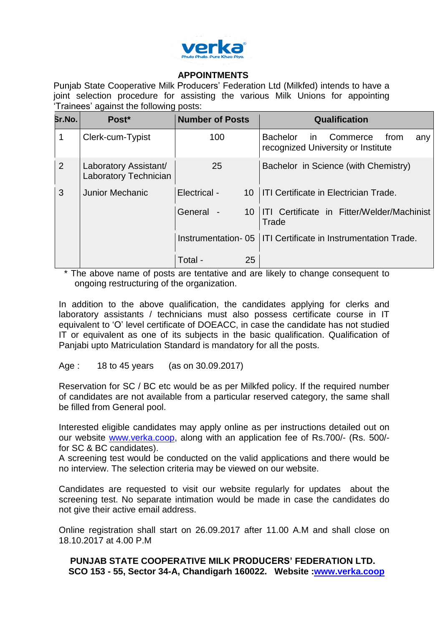

## **APPOINTMENTS**

Punjab State Cooperative Milk Producers' Federation Ltd (Milkfed) intends to have a joint selection procedure for assisting the various Milk Unions for appointing 'Trainees' against the following posts:

| Sr.No. | Post*                                          | <b>Number of Posts</b> | <b>Qualification</b>                                                                    |
|--------|------------------------------------------------|------------------------|-----------------------------------------------------------------------------------------|
|        | Clerk-cum-Typist                               | 100                    | <b>Bachelor</b><br>Commerce<br>from<br>in.<br>any<br>recognized University or Institute |
| 2      | Laboratory Assistant/<br>Laboratory Technician | 25                     | Bachelor in Science (with Chemistry)                                                    |
| 3      | <b>Junior Mechanic</b>                         | Electrical -<br>10     | <b>ITI Certificate in Electrician Trade.</b>                                            |
|        |                                                | General -<br>10        | ITI Certificate in Fitter/Welder/Machinist<br>Trade                                     |
|        |                                                | Instrumentation-05     | ITI Certificate in Instrumentation Trade.                                               |
|        |                                                | Total -<br>25          |                                                                                         |

\* The above name of posts are tentative and are likely to change consequent to ongoing restructuring of the organization.

In addition to the above qualification, the candidates applying for clerks and laboratory assistants / technicians must also possess certificate course in IT equivalent to 'O' level certificate of DOEACC, in case the candidate has not studied IT or equivalent as one of its subjects in the basic qualification. Qualification of Panjabi upto Matriculation Standard is mandatory for all the posts.

## Age : 18 to 45 years (as on 30.09.2017)

Reservation for SC / BC etc would be as per Milkfed policy. If the required number of candidates are not available from a particular reserved category, the same shall be filled from General pool.

Interested eligible candidates may apply online as per instructions detailed out on our website [www.verka.coop,](http://www.verka.coop/) along with an application fee of Rs.700/- (Rs. 500/ for SC & BC candidates).

A screening test would be conducted on the valid applications and there would be no interview. The selection criteria may be viewed on our website.

Candidates are requested to visit our website regularly for updates about the screening test. No separate intimation would be made in case the candidates do not give their active email address.

Online registration shall start on 26.09.2017 after 11.00 A.M and shall close on 18.10.2017 at 4.00 P.M

# **PUNJAB STATE COOPERATIVE MILK PRODUCERS' FEDERATION LTD. SCO 153 - 55, Sector 34-A, Chandigarh 160022. Website [:www.verka.coop](http://www.verka.coop/)**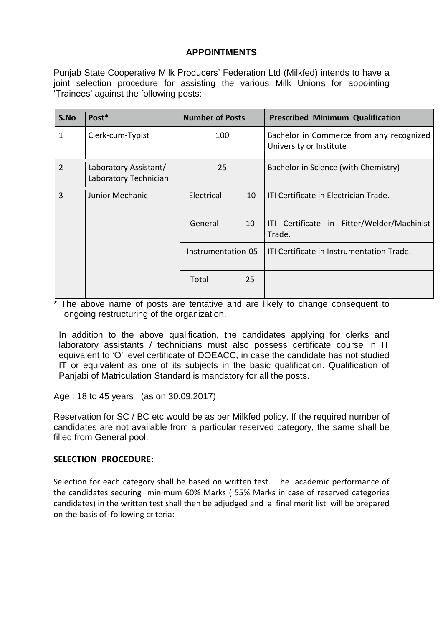## **APPOINTMENTS**

Punjab State Cooperative Milk Producers' Federation Ltd (Milkfed) intends to have a joint selection procedure for assisting the various Milk Unions for appointing 'Trainees' against the following posts:

| S.No           | Post*                                          | <b>Number of Posts</b>  | <b>Prescribed Minimum Qualification</b>                             |
|----------------|------------------------------------------------|-------------------------|---------------------------------------------------------------------|
| 1              | Clerk-cum-Typist                               | 100                     | Bachelor in Commerce from any recognized<br>University or Institute |
| $\overline{2}$ | Laboratory Assistant/<br>Laboratory Technician | 25                      | Bachelor in Science (with Chemistry)                                |
| 3              | Junior Mechanic                                | <b>Electrical</b><br>10 | ITI Certificate in Flectrician Trade.                               |
|                |                                                | General-<br>10          | ITI Certificate in Fitter/Welder/Machinist<br>Trade.                |
|                |                                                | Instrumentation-05      | ITI Certificate in Instrumentation Trade.                           |
|                |                                                | Total-<br>25            |                                                                     |

\* The above name of posts are tentative and are likely to change consequent to ongoing restructuring of the organization.

In addition to the above qualification, the candidates applying for clerks and laboratory assistants / technicians must also possess certificate course in IT equivalent to 'O' level certificate of DOEACC, in case the candidate has not studied IT or equivalent as one of its subjects in the basic qualification. Qualification of Panjabi of Matriculation Standard is mandatory for all the posts.

Age : 18 to 45 years (as on 30.09.2017)

Reservation for SC / BC etc would be as per Milkfed policy. If the required number of candidates are not available from a particular reserved category, the same shall be filled from General pool.

## **SELECTION PROCEDURE:**

Selection for each category shall be based on written test. The academic performance of the candidates securing minimum 60% Marks ( 55% Marks in case of reserved categories candidates) in the written test shall then be adjudged and a final merit list will be prepared on the basis of following criteria: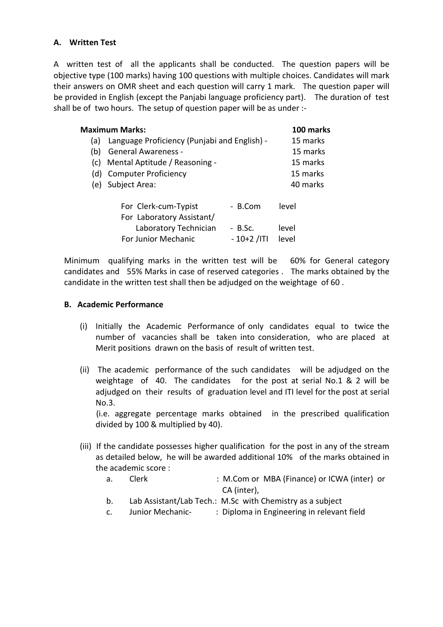## **A. Written Test**

A written test of all the applicants shall be conducted. The question papers will be objective type (100 marks) having 100 questions with multiple choices. Candidates will mark their answers on OMR sheet and each question will carry 1 mark. The question paper will be provided in English (except the Panjabi language proficiency part). The duration of test shall be of two hours. The setup of question paper will be as under :-

| <b>Maximum Marks:</b> | 100 marks                                         |              |          |
|-----------------------|---------------------------------------------------|--------------|----------|
| (a)                   | Language Proficiency (Punjabi and English) -      | 15 marks     |          |
| (b)                   | <b>General Awareness -</b>                        | 15 marks     |          |
| (C)                   | Mental Aptitude / Reasoning -                     |              | 15 marks |
|                       | (d) Computer Proficiency                          |              | 15 marks |
| (e)                   | Subject Area:                                     |              | 40 marks |
|                       | For Clerk-cum-Typist<br>For Laboratory Assistant/ | - B.Com      | level    |
|                       | Laboratory Technician                             | - B.Sc.      | level    |
|                       | For Junior Mechanic                               | $-10+2$ /ITI | level    |

Minimum qualifying marks in the written test will be 60% for General category candidates and 55% Marks in case of reserved categories . The marks obtained by the candidate in the written test shall then be adjudged on the weightage of 60 .

### **B. Academic Performance**

- (i) Initially the Academic Performance of only candidates equal to twice the number of vacancies shall be taken into consideration, who are placed at Merit positions drawn on the basis of result of written test.
- (ii) The academic performance of the such candidates will be adjudged on the weightage of 40. The candidates for the post at serial No.1 & 2 will be adjudged on their results of graduation level and ITI level for the post at serial No.3.

 (i.e. aggregate percentage marks obtained in the prescribed qualification divided by 100 & multiplied by 40).

- (iii) If the candidate possesses higher qualification for the post in any of the stream as detailed below, he will be awarded additional 10% of the marks obtained in the academic score :
	- a. Clerk : M.Com or MBA (Finance) or ICWA (inter) or CA (inter),
	- b. Lab Assistant/Lab Tech.: M.Sc with Chemistry as a subject
	- c. Junior Mechanic- : Diploma in Engineering in relevant field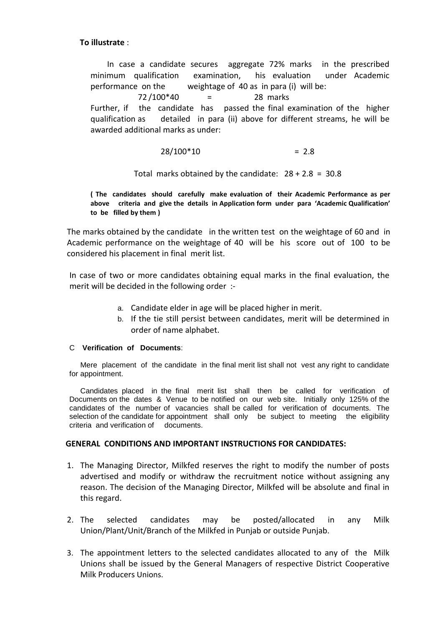### **To illustrate** :

In case a candidate secures aggregate 72% marks in the prescribed minimum qualification examination, his evaluation under Academic performance on the weightage of 40 as in para (i) will be:

 $72 / 100*40$  = 28 marks Further, if the candidate has passed the final examination of the higher qualification as detailed in para (ii) above for different streams, he will be awarded additional marks as under:

$$
28/100*10 = 2.8
$$

Total marks obtained by the candidate:  $28 + 2.8 = 30.8$ 

**( The candidates should carefully make evaluation of their Academic Performance as per above criteria and give the details in Application form under para 'Academic Qualification' to be filled by them )**

The marks obtained by the candidate in the written test on the weightage of 60 and in Academic performance on the weightage of 40 will be his score out of 100 to be considered his placement in final merit list.

In case of two or more candidates obtaining equal marks in the final evaluation, the merit will be decided in the following order :-

- a. Candidate elder in age will be placed higher in merit.
- b. If the tie still persist between candidates, merit will be determined in order of name alphabet.

#### C **Verification of Documents**:

Mere placement of the candidate in the final merit list shall not vest any right to candidate for appointment.

Candidates placed in the final merit list shall then be called for verification of Documents on the dates & Venue to be notified on our web site. Initially only 125% of the candidates of the number of vacancies shall be called for verification of documents. The selection of the candidate for appointment shall only be subject to meeting the eligibility criteria and verification of documents.

### **GENERAL CONDITIONS AND IMPORTANT INSTRUCTIONS FOR CANDIDATES:**

- 1. The Managing Director, Milkfed reserves the right to modify the number of posts advertised and modify or withdraw the recruitment notice without assigning any reason. The decision of the Managing Director, Milkfed will be absolute and final in this regard.
- 2. The selected candidates may be posted/allocated in any Milk Union/Plant/Unit/Branch of the Milkfed in Punjab or outside Punjab.
- 3. The appointment letters to the selected candidates allocated to any of the Milk Unions shall be issued by the General Managers of respective District Cooperative Milk Producers Unions.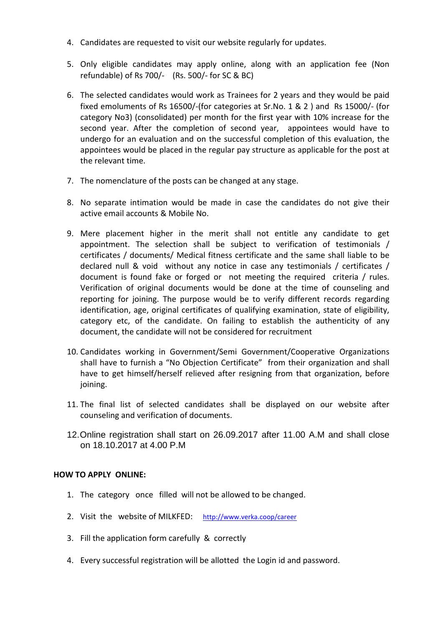- 4. Candidates are requested to visit our website regularly for updates.
- 5. Only eligible candidates may apply online, along with an application fee (Non refundable) of Rs 700/- (Rs. 500/- for SC & BC)
- 6. The selected candidates would work as Trainees for 2 years and they would be paid fixed emoluments of Rs 16500/-(for categories at Sr.No. 1 & 2 ) and Rs 15000/- (for category No3) (consolidated) per month for the first year with 10% increase for the second year. After the completion of second year, appointees would have to undergo for an evaluation and on the successful completion of this evaluation, the appointees would be placed in the regular pay structure as applicable for the post at the relevant time.
- 7. The nomenclature of the posts can be changed at any stage.
- 8. No separate intimation would be made in case the candidates do not give their active email accounts & Mobile No.
- 9. Mere placement higher in the merit shall not entitle any candidate to get appointment. The selection shall be subject to verification of testimonials / certificates / documents/ Medical fitness certificate and the same shall liable to be declared null & void without any notice in case any testimonials / certificates / document is found fake or forged or not meeting the required criteria / rules. Verification of original documents would be done at the time of counseling and reporting for joining. The purpose would be to verify different records regarding identification, age, original certificates of qualifying examination, state of eligibility, category etc, of the candidate. On failing to establish the authenticity of any document, the candidate will not be considered for recruitment
- 10. Candidates working in Government/Semi Government/Cooperative Organizations shall have to furnish a "No Objection Certificate" from their organization and shall have to get himself/herself relieved after resigning from that organization, before joining.
- 11. The final list of selected candidates shall be displayed on our website after counseling and verification of documents.
- 12.Online registration shall start on 26.09.2017 after 11.00 A.M and shall close on 18.10.2017 at 4.00 P.M

### **HOW TO APPLY ONLINE:**

- 1. The category once filled will not be allowed to be changed.
- 2. Visit the website of MILKFED: <http://www.verka.coop/career>
- 3. Fill the application form carefully & correctly
- 4. Every successful registration will be allotted the Login id and password.